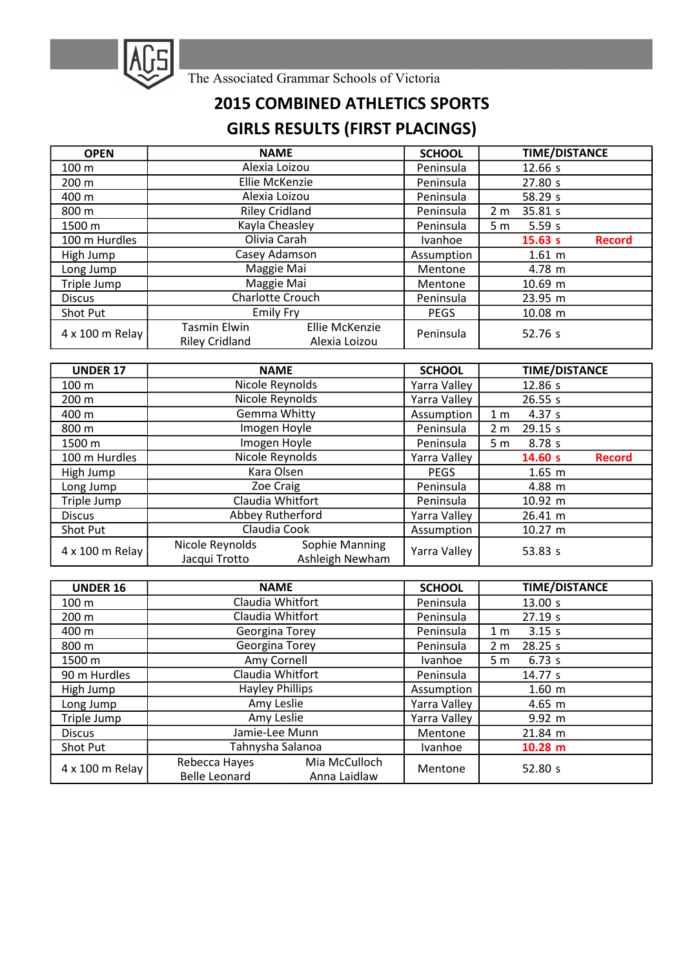

The Associated Grammar Schools of Victoria

## 2015 COMBINED ATHLETICS SPORTS GIRLS RESULTS (FIRST PLACINGS)

| <b>OPEN</b>     | <b>NAME</b>                                                                     | <b>SCHOOL</b> |                | <b>TIME/DISTANCE</b> |               |
|-----------------|---------------------------------------------------------------------------------|---------------|----------------|----------------------|---------------|
| 100 m           | Alexia Loizou                                                                   | Peninsula     |                | 12.66 s              |               |
| 200 m           | Ellie McKenzie                                                                  | Peninsula     |                | 27.80 s              |               |
| 400 m           | Alexia Loizou                                                                   | Peninsula     |                | 58.29 s              |               |
| 800 m           | <b>Riley Cridland</b>                                                           | Peninsula     | 2 <sub>m</sub> | 35.81 s              |               |
| 1500 m          | Kayla Cheasley                                                                  | Peninsula     | 5 m            | 5.59s                |               |
| 100 m Hurdles   | Olivia Carah                                                                    | Ivanhoe       |                | 15.63 s              | <b>Record</b> |
| High Jump       | Casey Adamson                                                                   | Assumption    |                | $1.61 \; m$          |               |
| Long Jump       | Maggie Mai                                                                      | Mentone       |                | 4.78 m               |               |
| Triple Jump     | Maggie Mai                                                                      | Mentone       |                | 10.69 m              |               |
| <b>Discus</b>   | Charlotte Crouch                                                                | Peninsula     |                | 23.95 m              |               |
| Shot Put        | <b>Emily Fry</b>                                                                | <b>PEGS</b>   |                | 10.08 m              |               |
| 4 x 100 m Relay | <b>Ellie McKenzie</b><br>Tasmin Elwin<br><b>Riley Cridland</b><br>Alexia Loizou | Peninsula     |                | 52.76 s              |               |

| <b>UNDER 17</b> | <b>NAME</b>                                                           | <b>SCHOOL</b> | <b>TIME/DISTANCE</b>      |  |
|-----------------|-----------------------------------------------------------------------|---------------|---------------------------|--|
| 100 m           | Nicole Reynolds                                                       | Yarra Valley  | 12.86 s                   |  |
| 200 m           | Nicole Reynolds                                                       | Yarra Valley  | 26.55 s                   |  |
| 400 m           | Gemma Whitty                                                          | Assumption    | 4.37 s<br>1 <sub>m</sub>  |  |
| 800 m           | Imogen Hoyle                                                          | Peninsula     | 29.15 s<br>2 <sub>m</sub> |  |
| 1500 m          | Imogen Hoyle                                                          | Peninsula     | 8.78 <sub>s</sub><br>5 m  |  |
| 100 m Hurdles   | Nicole Reynolds                                                       | Yarra Valley  | 14.60 s<br><b>Record</b>  |  |
| High Jump       | Kara Olsen                                                            | <b>PEGS</b>   | $1.65 \; m$               |  |
| Long Jump       | Zoe Craig                                                             | Peninsula     | 4.88 m                    |  |
| Triple Jump     | Claudia Whitfort                                                      | Peninsula     | 10.92 m                   |  |
| <b>Discus</b>   | Abbey Rutherford                                                      | Yarra Valley  | 26.41 m                   |  |
| Shot Put        | Claudia Cook                                                          | Assumption    | 10.27 m                   |  |
| 4 x 100 m Relay | Sophie Manning<br>Nicole Reynolds<br>Ashleigh Newham<br>Jacqui Trotto | Yarra Valley  | 53.83 s                   |  |

| <b>UNDER 16</b> | <b>NAME</b>            |               | <b>SCHOOL</b>  |                | <b>TIME/DISTANCE</b> |
|-----------------|------------------------|---------------|----------------|----------------|----------------------|
| 100 m           | Claudia Whitfort       |               | Peninsula      |                | 13.00 s              |
| 200 m           | Claudia Whitfort       |               | Peninsula      |                | 27.19 s              |
| 400 m           | Georgina Torey         |               | Peninsula      | 1 <sub>m</sub> | 3.15 s               |
| 800 m           | Georgina Torey         |               | Peninsula      | 2 <sub>m</sub> | 28.25 s              |
| 1500 m          | Amy Cornell            |               | <b>Ivanhoe</b> | 5 <sub>m</sub> | 6.73 s               |
| 90 m Hurdles    | Claudia Whitfort       |               | Peninsula      |                | 14.77 s              |
| High Jump       | <b>Hayley Phillips</b> |               | Assumption     |                | $1.60 \; m$          |
| Long Jump       | Amy Leslie             |               | Yarra Valley   |                | $4.65 \; m$          |
| Triple Jump     | Amy Leslie             |               | Yarra Valley   |                | $9.92 \; m$          |
| <b>Discus</b>   | Jamie-Lee Munn         |               | Mentone        |                | 21.84 m              |
| Shot Put        | Tahnysha Salanoa       |               | Ivanhoe        |                | $10.28$ m            |
| 4 x 100 m Relay | Rebecca Hayes          | Mia McCulloch | Mentone        |                | 52.80 s              |
|                 | <b>Belle Leonard</b>   | Anna Laidlaw  |                |                |                      |